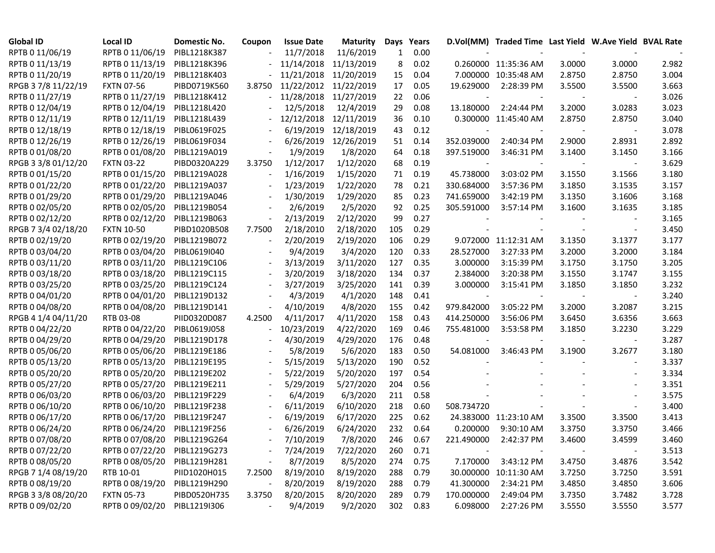| <b>Global ID</b>    | <b>Local ID</b>              | Domestic No. | Coupon                   | <b>Issue Date</b> | Maturity   | Days | Years    |                          | D.Vol(MM) Traded Time Last Yield W.Ave Yield BVAL Rate |        |                          |       |
|---------------------|------------------------------|--------------|--------------------------|-------------------|------------|------|----------|--------------------------|--------------------------------------------------------|--------|--------------------------|-------|
| RPTB 0 11/06/19     | RPTB 0 11/06/19              | PIBL1218K387 |                          | 11/7/2018         | 11/6/2019  | 1    | 0.00     |                          |                                                        |        |                          |       |
| RPTB 0 11/13/19     | RPTB 0 11/13/19              | PIBL1218K396 |                          | 11/14/2018        | 11/13/2019 | 8    | 0.02     |                          | 0.260000 11:35:36 AM                                   | 3.0000 | 3.0000                   | 2.982 |
| RPTB 0 11/20/19     | RPTB 0 11/20/19              | PIBL1218K403 |                          | 11/21/2018        | 11/20/2019 | 15   | 0.04     |                          | 7.000000 10:35:48 AM                                   | 2.8750 | 2.8750                   | 3.004 |
| RPGB 37/8 11/22/19  | <b>FXTN 07-56</b>            | PIBD0719K560 | 3.8750                   | 11/22/2012        | 11/22/2019 | 17   | 0.05     | 19.629000                | 2:28:39 PM                                             | 3.5500 | 3.5500                   | 3.663 |
| RPTB 0 11/27/19     | RPTB 0 11/27/19              | PIBL1218K412 |                          | 11/28/2018        | 11/27/2019 | 22   | 0.06     |                          |                                                        |        |                          | 3.026 |
| RPTB 0 12/04/19     | RPTB 0 12/04/19              | PIBL1218L420 |                          | 12/5/2018         | 12/4/2019  | 29   | 0.08     | 13.180000                | 2:24:44 PM                                             | 3.2000 | 3.0283                   | 3.023 |
| RPTB 0 12/11/19     | RPTB 0 12/11/19              | PIBL1218L439 |                          | 12/12/2018        | 12/11/2019 | 36   | 0.10     |                          | 0.300000 11:45:40 AM                                   | 2.8750 | 2.8750                   | 3.040 |
| RPTB 0 12/18/19     | RPTB 0 12/18/19              | PIBL0619F025 |                          | 6/19/2019         | 12/18/2019 | 43   | 0.12     |                          |                                                        |        | $\sim$                   | 3.078 |
| RPTB 0 12/26/19     | RPTB 0 12/26/19              | PIBL0619F034 |                          | 6/26/2019         | 12/26/2019 | 51   | 0.14     | 352.039000               | 2:40:34 PM                                             | 2.9000 | 2.8931                   | 2.892 |
| RPTB 0 01/08/20     | RPTB 0 01/08/20              | PIBL1219A019 |                          | 1/9/2019          | 1/8/2020   | 64   | 0.18     | 397.519000               | 3:46:31 PM                                             | 3.1400 | 3.1450                   | 3.166 |
| RPGB 3 3/8 01/12/20 | <b>FXTN 03-22</b>            | PIBD0320A229 | 3.3750                   | 1/12/2017         | 1/12/2020  | 68   | 0.19     |                          |                                                        |        | $\sim$                   | 3.629 |
| RPTB 0 01/15/20     | RPTB 0 01/15/20              | PIBL1219A028 | $\overline{\phantom{a}}$ | 1/16/2019         | 1/15/2020  | 71   | 0.19     | 45.738000                | 3:03:02 PM                                             | 3.1550 | 3.1566                   | 3.180 |
| RPTB 0 01/22/20     | RPTB 0 01/22/20              | PIBL1219A037 |                          | 1/23/2019         | 1/22/2020  | 78   | 0.21     | 330.684000               | 3:57:36 PM                                             | 3.1850 | 3.1535                   | 3.157 |
| RPTB 0 01/29/20     | RPTB 0 01/29/20              | PIBL1219A046 |                          | 1/30/2019         | 1/29/2020  | 85   | 0.23     | 741.659000               | 3:42:19 PM                                             | 3.1350 | 3.1606                   | 3.168 |
| RPTB 0 02/05/20     | RPTB 0 02/05/20              | PIBL1219B054 |                          | 2/6/2019          | 2/5/2020   | 92   | 0.25     | 305.591000               | 3:57:14 PM                                             | 3.1600 | 3.1635                   | 3.185 |
| RPTB 0 02/12/20     | RPTB 0 02/12/20              | PIBL1219B063 | $\overline{\phantom{a}}$ | 2/13/2019         | 2/12/2020  | 99   | 0.27     |                          |                                                        |        |                          | 3.165 |
| RPGB 7 3/4 02/18/20 | <b>FXTN 10-50</b>            | PIBD1020B508 | 7.7500                   | 2/18/2010         | 2/18/2020  | 105  | 0.29     |                          |                                                        |        |                          | 3.450 |
| RPTB 0 02/19/20     | RPTB 0 02/19/20              | PIBL1219B072 |                          | 2/20/2019         | 2/19/2020  | 106  | 0.29     |                          | 9.072000 11:12:31 AM                                   | 3.1350 | 3.1377                   | 3.177 |
| RPTB 0 03/04/20     | RPTB 0 03/04/20              | PIBL0619I040 |                          | 9/4/2019          | 3/4/2020   | 120  | 0.33     | 28.527000                | 3:27:33 PM                                             | 3.2000 | 3.2000                   | 3.184 |
| RPTB 0 03/11/20     | RPTB 0 03/11/20              | PIBL1219C106 |                          | 3/13/2019         | 3/11/2020  | 127  | 0.35     | 3.000000                 | 3:15:39 PM                                             | 3.1750 | 3.1750                   | 3.205 |
| RPTB 0 03/18/20     | RPTB 0 03/18/20              | PIBL1219C115 |                          | 3/20/2019         | 3/18/2020  | 134  | 0.37     | 2.384000                 | 3:20:38 PM                                             | 3.1550 | 3.1747                   | 3.155 |
| RPTB 0 03/25/20     | RPTB 0 03/25/20              | PIBL1219C124 |                          | 3/27/2019         | 3/25/2020  | 141  | 0.39     | 3.000000                 | 3:15:41 PM                                             | 3.1850 | 3.1850                   | 3.232 |
| RPTB 0 04/01/20     | RPTB 0 04/01/20              | PIBL1219D132 |                          | 4/3/2019          | 4/1/2020   | 148  | 0.41     | $\overline{\phantom{a}}$ |                                                        |        |                          | 3.240 |
| RPTB 0 04/08/20     | RPTB 0 04/08/20              | PIBL1219D141 |                          | 4/10/2019         | 4/8/2020   | 155  | 0.42     | 979.842000               | 3:05:22 PM                                             | 3.2000 | 3.2087                   | 3.215 |
| RPGB 4 1/4 04/11/20 | RTB 03-08                    | PIID0320D087 | 4.2500                   | 4/11/2017         | 4/11/2020  | 158  | 0.43     | 414.250000               | 3:56:06 PM                                             | 3.6450 | 3.6356                   | 3.663 |
| RPTB 0 04/22/20     | RPTB 0 04/22/20              | PIBL0619J058 |                          | 10/23/2019        | 4/22/2020  | 169  | 0.46     | 755.481000               | 3:53:58 PM                                             | 3.1850 | 3.2230                   | 3.229 |
| RPTB 0 04/29/20     | RPTB 0 04/29/20              | PIBL1219D178 |                          | 4/30/2019         | 4/29/2020  | 176  | 0.48     |                          |                                                        |        |                          | 3.287 |
| RPTB 0 05/06/20     | RPTB 0 05/06/20              | PIBL1219E186 |                          | 5/8/2019          | 5/6/2020   | 183  | 0.50     | 54.081000                | 3:46:43 PM                                             | 3.1900 | 3.2677                   | 3.180 |
| RPTB 0 05/13/20     | RPTB 0 05/13/20              | PIBL1219E195 |                          | 5/15/2019         | 5/13/2020  | 190  | 0.52     |                          |                                                        |        |                          | 3.337 |
| RPTB 0 05/20/20     | RPTB 0 05/20/20              | PIBL1219E202 |                          | 5/22/2019         | 5/20/2020  | 197  | 0.54     |                          |                                                        |        |                          | 3.334 |
| RPTB 0 05/27/20     | RPTB 0 05/27/20              | PIBL1219E211 |                          | 5/29/2019         | 5/27/2020  | 204  | 0.56     |                          |                                                        |        |                          | 3.351 |
| RPTB 0 06/03/20     | RPTB 0 06/03/20              | PIBL1219F229 |                          | 6/4/2019          | 6/3/2020   | 211  | 0.58     |                          |                                                        |        |                          | 3.575 |
| RPTB 0 06/10/20     | RPTB 0 06/10/20              | PIBL1219F238 |                          | 6/11/2019         | 6/10/2020  | 218  | 0.60     | 508.734720               |                                                        |        |                          | 3.400 |
| RPTB 0 06/17/20     | RPTB 0 06/17/20              | PIBL1219F247 |                          | 6/19/2019         | 6/17/2020  | 225  | 0.62     |                          | 24.383000 11:23:10 AM                                  | 3.3500 | 3.3500                   | 3.413 |
| RPTB 0 06/24/20     | RPTB 0 06/24/20              | PIBL1219F256 |                          | 6/26/2019         | 6/24/2020  | 232  | 0.64     | 0.200000                 | 9:30:10 AM                                             | 3.3750 | 3.3750                   | 3.466 |
| RPTB 0 07/08/20     | RPTB 0 07/08/20 PIBL1219G264 |              |                          | 7/10/2019         | 7/8/2020   |      | 246 0.67 |                          | 221.490000 2:42:37 PM                                  | 3.4600 | 3.4599                   | 3.460 |
| RPTB 0 07/22/20     | RPTB 0 07/22/20 PIBL1219G273 |              |                          | 7/24/2019         | 7/22/2020  | 260  | 0.71     |                          |                                                        |        | $\overline{\phantom{a}}$ | 3.513 |
| RPTB 0 08/05/20     | RPTB 0 08/05/20              | PIBL1219H281 |                          | 8/7/2019          | 8/5/2020   | 274  | 0.75     | 7.170000                 | 3:43:12 PM                                             | 3.4750 | 3.4876                   | 3.542 |
| RPGB 7 1/4 08/19/20 | RTB 10-01                    | PIID1020H015 | 7.2500                   | 8/19/2010         | 8/19/2020  | 288  | 0.79     |                          | 30.000000 10:11:30 AM                                  | 3.7250 | 3.7250                   | 3.591 |
| RPTB 0 08/19/20     | RPTB 0 08/19/20              | PIBL1219H290 |                          | 8/20/2019         | 8/19/2020  | 288  | 0.79     | 41.300000                | 2:34:21 PM                                             | 3.4850 | 3.4850                   | 3.606 |
| RPGB 3 3/8 08/20/20 | <b>FXTN 05-73</b>            | PIBD0520H735 | 3.3750                   | 8/20/2015         | 8/20/2020  | 289  | 0.79     | 170.000000               | 2:49:04 PM                                             | 3.7350 | 3.7482                   | 3.728 |
| RPTB 0 09/02/20     | RPTB 0 09/02/20              | PIBL1219I306 |                          | 9/4/2019          | 9/2/2020   | 302  | 0.83     | 6.098000                 | 2:27:26 PM                                             | 3.5550 | 3.5550                   | 3.577 |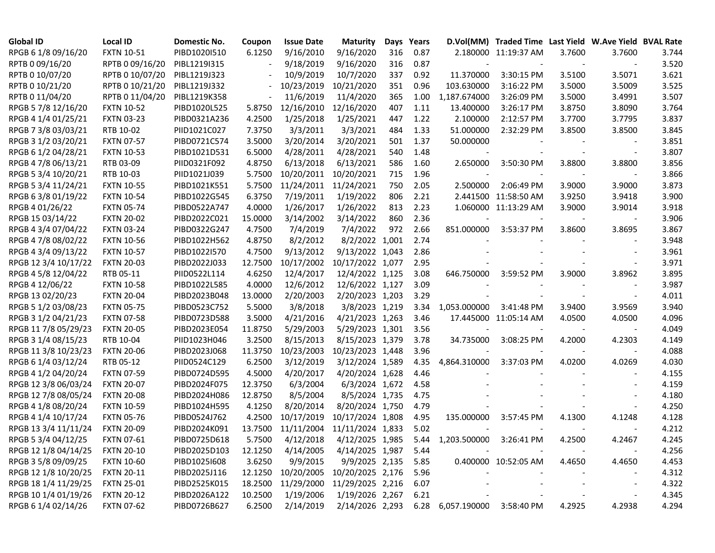| <b>Global ID</b>     | <b>Local ID</b>   | Domestic No. | Coupon  | <b>Issue Date</b> | <b>Maturity</b>  | Days | Years |                              | D.Vol(MM) Traded Time Last Yield W.Ave Yield BVAL Rate |        |                          |       |
|----------------------|-------------------|--------------|---------|-------------------|------------------|------|-------|------------------------------|--------------------------------------------------------|--------|--------------------------|-------|
| RPGB 6 1/8 09/16/20  | <b>FXTN 10-51</b> | PIBD1020I510 | 6.1250  | 9/16/2010         | 9/16/2020        | 316  | 0.87  |                              | 2.180000 11:19:37 AM                                   | 3.7600 | 3.7600                   | 3.744 |
| RPTB 0 09/16/20      | RPTB 0 09/16/20   | PIBL1219I315 |         | 9/18/2019         | 9/16/2020        | 316  | 0.87  |                              |                                                        |        |                          | 3.520 |
| RPTB 0 10/07/20      | RPTB 0 10/07/20   | PIBL1219J323 |         | 10/9/2019         | 10/7/2020        | 337  | 0.92  | 11.370000                    | 3:30:15 PM                                             | 3.5100 | 3.5071                   | 3.621 |
| RPTB 0 10/21/20      | RPTB 0 10/21/20   | PIBL1219J332 |         | 10/23/2019        | 10/21/2020       | 351  | 0.96  | 103.630000                   | 3:16:22 PM                                             | 3.5000 | 3.5009                   | 3.525 |
| RPTB 0 11/04/20      | RPTB 0 11/04/20   | PIBL1219K358 |         | 11/6/2019         | 11/4/2020        | 365  | 1.00  | 1,187.674000                 | 3:26:09 PM                                             | 3.5000 | 3.4991                   | 3.507 |
| RPGB 5 7/8 12/16/20  | <b>FXTN 10-52</b> | PIBD1020L525 | 5.8750  | 12/16/2010        | 12/16/2020       | 407  | 1.11  | 13.400000                    | 3:26:17 PM                                             | 3.8750 | 3.8090                   | 3.764 |
| RPGB 4 1/4 01/25/21  | <b>FXTN 03-23</b> | PIBD0321A236 | 4.2500  | 1/25/2018         | 1/25/2021        | 447  | 1.22  | 2.100000                     | 2:12:57 PM                                             | 3.7700 | 3.7795                   | 3.837 |
| RPGB 7 3/8 03/03/21  | RTB 10-02         | PIID1021C027 | 7.3750  | 3/3/2011          | 3/3/2021         | 484  | 1.33  | 51.000000                    | 2:32:29 PM                                             | 3.8500 | 3.8500                   | 3.845 |
| RPGB 3 1/2 03/20/21  | <b>FXTN 07-57</b> | PIBD0721C574 | 3.5000  | 3/20/2014         | 3/20/2021        | 501  | 1.37  | 50.000000                    |                                                        |        |                          | 3.851 |
| RPGB 6 1/2 04/28/21  | <b>FXTN 10-53</b> | PIBD1021D531 | 6.5000  | 4/28/2011         | 4/28/2021        | 540  | 1.48  |                              |                                                        |        | $\overline{\phantom{a}}$ | 3.807 |
| RPGB 4 7/8 06/13/21  | RTB 03-09         | PIID0321F092 | 4.8750  | 6/13/2018         | 6/13/2021        | 586  | 1.60  | 2.650000                     | 3:50:30 PM                                             | 3.8800 | 3.8800                   | 3.856 |
| RPGB 5 3/4 10/20/21  | RTB 10-03         | PIID1021J039 | 5.7500  | 10/20/2011        | 10/20/2021       | 715  | 1.96  |                              |                                                        |        |                          | 3.866 |
| RPGB 5 3/4 11/24/21  | <b>FXTN 10-55</b> | PIBD1021K551 | 5.7500  | 11/24/2011        | 11/24/2021       | 750  | 2.05  | 2.500000                     | 2:06:49 PM                                             | 3.9000 | 3.9000                   | 3.873 |
| RPGB 6 3/8 01/19/22  | <b>FXTN 10-54</b> | PIBD1022G545 | 6.3750  | 7/19/2011         | 1/19/2022        | 806  | 2.21  |                              | 2.441500 11:58:50 AM                                   | 3.9250 | 3.9418                   | 3.900 |
| RPGB 4 01/26/22      | <b>FXTN 05-74</b> | PIBD0522A747 | 4.0000  | 1/26/2017         | 1/26/2022        | 813  | 2.23  |                              | 1.060000 11:13:29 AM                                   | 3.9000 | 3.9014                   | 3.918 |
| RPGB 15 03/14/22     | <b>FXTN 20-02</b> | PIBD2022C021 | 15.0000 | 3/14/2002         | 3/14/2022        | 860  | 2.36  |                              |                                                        |        |                          | 3.906 |
| RPGB 4 3/4 07/04/22  | <b>FXTN 03-24</b> | PIBD0322G247 | 4.7500  | 7/4/2019          | 7/4/2022         | 972  | 2.66  | 851.000000                   | 3:53:37 PM                                             | 3.8600 | 3.8695                   | 3.867 |
| RPGB 4 7/8 08/02/22  | <b>FXTN 10-56</b> | PIBD1022H562 | 4.8750  | 8/2/2012          | 8/2/2022 1,001   |      | 2.74  |                              |                                                        |        |                          | 3.948 |
| RPGB 4 3/4 09/13/22  | <b>FXTN 10-57</b> | PIBD1022I570 | 4.7500  | 9/13/2012         | 9/13/2022 1,043  |      | 2.86  |                              |                                                        |        |                          | 3.961 |
| RPGB 12 3/4 10/17/22 | <b>FXTN 20-03</b> | PIBD2022J033 | 12.7500 | 10/17/2002        | 10/17/2022 1,077 |      | 2.95  |                              |                                                        |        |                          | 3.971 |
| RPGB 4 5/8 12/04/22  | RTB 05-11         | PIID0522L114 | 4.6250  | 12/4/2017         | 12/4/2022 1,125  |      | 3.08  | 646.750000                   | 3:59:52 PM                                             | 3.9000 | 3.8962                   | 3.895 |
| RPGB 4 12/06/22      | <b>FXTN 10-58</b> | PIBD1022L585 | 4.0000  | 12/6/2012         | 12/6/2022 1,127  |      | 3.09  |                              |                                                        |        |                          | 3.987 |
| RPGB 13 02/20/23     | <b>FXTN 20-04</b> | PIBD2023B048 | 13.0000 | 2/20/2003         | 2/20/2023 1,203  |      | 3.29  |                              |                                                        |        | $\overline{\phantom{a}}$ | 4.011 |
| RPGB 5 1/2 03/08/23  | <b>FXTN 05-75</b> | PIBD0523C752 | 5.5000  | 3/8/2018          | 3/8/2023 1,219   |      | 3.34  | 1,053.000000                 | 3:41:48 PM                                             | 3.9400 | 3.9569                   | 3.940 |
| RPGB 3 1/2 04/21/23  | <b>FXTN 07-58</b> | PIBD0723D588 | 3.5000  | 4/21/2016         | 4/21/2023 1,263  |      | 3.46  |                              | 17.445000 11:05:14 AM                                  | 4.0500 | 4.0500                   | 4.096 |
| RPGB 11 7/8 05/29/23 | <b>FXTN 20-05</b> | PIBD2023E054 | 11.8750 | 5/29/2003         | 5/29/2023 1,301  |      | 3.56  |                              |                                                        |        |                          | 4.049 |
| RPGB 3 1/4 08/15/23  | RTB 10-04         | PIID1023H046 | 3.2500  | 8/15/2013         | 8/15/2023 1,379  |      | 3.78  | 34.735000                    | 3:08:25 PM                                             | 4.2000 | 4.2303                   | 4.149 |
| RPGB 11 3/8 10/23/23 | <b>FXTN 20-06</b> | PIBD2023J068 | 11.3750 | 10/23/2003        | 10/23/2023 1,448 |      | 3.96  |                              |                                                        |        |                          | 4.088 |
| RPGB 6 1/4 03/12/24  | RTB 05-12         | PIID0524C129 | 6.2500  | 3/12/2019         | 3/12/2024 1,589  |      | 4.35  | 4,864.310000                 | 3:37:03 PM                                             | 4.0200 | 4.0269                   | 4.030 |
| RPGB 4 1/2 04/20/24  | <b>FXTN 07-59</b> | PIBD0724D595 | 4.5000  | 4/20/2017         | 4/20/2024 1,628  |      | 4.46  |                              |                                                        |        |                          | 4.155 |
| RPGB 12 3/8 06/03/24 | <b>FXTN 20-07</b> | PIBD2024F075 | 12.3750 | 6/3/2004          | 6/3/2024 1,672   |      | 4.58  |                              |                                                        |        |                          | 4.159 |
| RPGB 12 7/8 08/05/24 | <b>FXTN 20-08</b> | PIBD2024H086 | 12.8750 | 8/5/2004          | 8/5/2024 1,735   |      | 4.75  |                              |                                                        |        |                          | 4.180 |
| RPGB 4 1/8 08/20/24  | <b>FXTN 10-59</b> | PIBD1024H595 | 4.1250  | 8/20/2014         | 8/20/2024 1,750  |      | 4.79  |                              |                                                        |        |                          | 4.250 |
| RPGB 4 1/4 10/17/24  | <b>FXTN 05-76</b> | PIBD0524J762 | 4.2500  | 10/17/2019        | 10/17/2024 1,808 |      | 4.95  | 135.000000                   | 3:57:45 PM                                             | 4.1300 | 4.1248                   | 4.128 |
| RPGB 13 3/4 11/11/24 | <b>FXTN 20-09</b> | PIBD2024K091 | 13.7500 | 11/11/2004        | 11/11/2024 1,833 |      | 5.02  |                              |                                                        |        |                          | 4.212 |
| RPGB 5 3/4 04/12/25  | <b>FXTN 07-61</b> | PIBD0725D618 | 5.7500  | 4/12/2018         | 4/12/2025 1,985  |      |       | 5.44 1,203.500000 3:26:41 PM |                                                        | 4.2500 | 4.2467                   | 4.245 |
| RPGB 12 1/8 04/14/25 | <b>FXTN 20-10</b> | PIBD2025D103 | 12.1250 | 4/14/2005         | 4/14/2025 1,987  |      | 5.44  |                              |                                                        |        |                          | 4.256 |
| RPGB 3 5/8 09/09/25  | <b>FXTN 10-60</b> | PIBD10251608 | 3.6250  | 9/9/2015          | 9/9/2025 2,135   |      | 5.85  |                              | 0.400000 10:52:05 AM                                   | 4.4650 | 4.4650                   | 4.453 |
| RPGB 12 1/8 10/20/25 | <b>FXTN 20-11</b> | PIBD2025J116 | 12.1250 | 10/20/2005        | 10/20/2025 2,176 |      | 5.96  |                              |                                                        |        |                          | 4.312 |
| RPGB 18 1/4 11/29/25 | <b>FXTN 25-01</b> | PIBD2525K015 | 18.2500 | 11/29/2000        | 11/29/2025 2,216 |      | 6.07  |                              |                                                        |        | $\overline{\phantom{a}}$ | 4.322 |
| RPGB 10 1/4 01/19/26 | <b>FXTN 20-12</b> | PIBD2026A122 | 10.2500 | 1/19/2006         | 1/19/2026 2,267  |      | 6.21  |                              |                                                        |        |                          | 4.345 |
| RPGB 6 1/4 02/14/26  | <b>FXTN 07-62</b> | PIBD0726B627 | 6.2500  | 2/14/2019         | 2/14/2026 2,293  |      |       | 6.28 6,057.190000 3:58:40 PM |                                                        | 4.2925 | 4.2938                   | 4.294 |